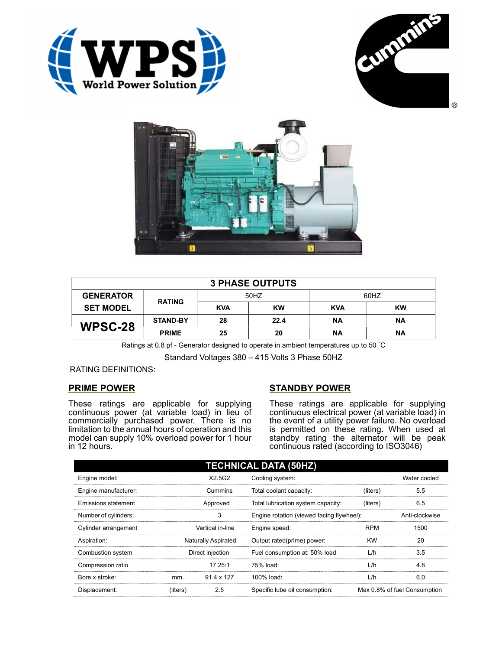





| <b>3 PHASE OUTPUTS</b> |                 |            |           |            |           |  |  |
|------------------------|-----------------|------------|-----------|------------|-----------|--|--|
| <b>GENERATOR</b>       | <b>RATING</b>   | 50HZ       |           | 60HZ       |           |  |  |
| <b>SET MODEL</b>       |                 | <b>KVA</b> | <b>KW</b> | <b>KVA</b> | <b>KW</b> |  |  |
| WPSC-28                | <b>STAND-BY</b> | 28         | 22.4      | <b>NA</b>  | <b>NA</b> |  |  |
|                        | <b>PRIME</b>    | 25         | 20        | ΝA         | <b>NA</b> |  |  |

Ratings at 0.8 pf - Generator designed to operate in ambient temperatures up to 50 °C

Standard Voltages 380 – 415 Volts 3 Phase 50HZ

## RATING DEFINITIONS:

# PRIME POWER

These ratings are applicable for supplying continuous power (at variable load) in lieu of commercially purchased power. There is no limitation to the annual hours of operation and this model can supply 10% overload power for 1 hour in 12 hours.

# STANDBY POWER

These ratings are applicable for supplying continuous electrical power (at variable load) in the event of a utility power failure. No overload is permitted on these rating. When used at standby rating the alternator will be peak continuous rated (according to ISO3046)

| <b>TECHNICAL DATA (50HZ)</b> |                            |            |                                           |            |                              |  |
|------------------------------|----------------------------|------------|-------------------------------------------|------------|------------------------------|--|
| Engine model:                |                            | X2.5G2     | Cooling system:                           |            | Water cooled                 |  |
| Engine manufacturer:         | Cummins                    |            | Total coolant capacity:                   | (liters)   | 5.5                          |  |
| Emissions statement          | Approved                   |            | Total lubrication system capacity:        | (liters)   | 6.5                          |  |
| Number of cylinders:         | 3                          |            | Engine rotation (viewed facing flywheel): |            | Anti-clockwise               |  |
| Cylinder arrangement         | Vertical in-line           |            | Engine speed:                             | <b>RPM</b> | 1500                         |  |
| Aspiration:                  | <b>Naturally Aspirated</b> |            | Output rated(prime) power:                | <b>KW</b>  | 20                           |  |
| Combustion system            | Direct injection           |            | Fuel consumption at: 50% load             | L/h        | 3.5                          |  |
| Compression ratio            |                            | 17.25:1    | 75% load:                                 | L/h        | 4.8                          |  |
| Bore x stroke:               | mm.                        | 91.4 x 127 | 100% load:                                | L/h        | 6.0                          |  |
| Displacement:                | (liters)                   | 2.5        | Specific lube oil consumption:            |            | Max 0.8% of fuel Consumption |  |